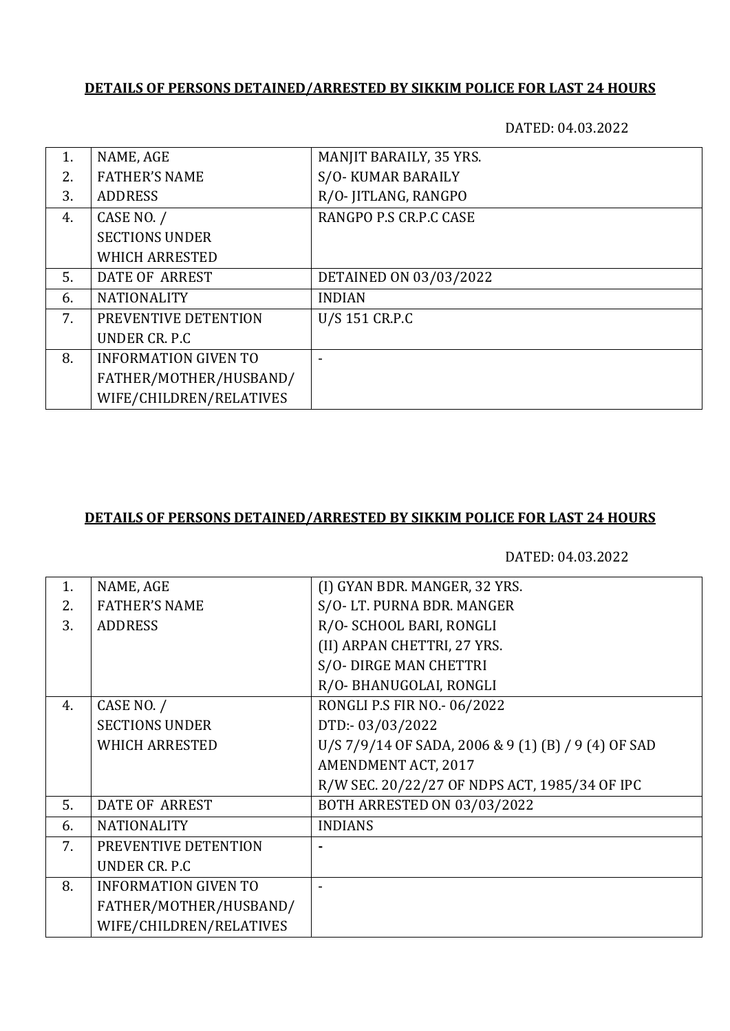# **DETAILS OF PERSONS DETAINED/ARRESTED BY SIKKIM POLICE FOR LAST 24 HOURS**

DATED: 04.03.2022

| 1. | NAME, AGE                   | MANJIT BARAILY, 35 YRS. |
|----|-----------------------------|-------------------------|
| 2. | <b>FATHER'S NAME</b>        | S/O-KUMAR BARAILY       |
| 3. | <b>ADDRESS</b>              | R/O- JITLANG, RANGPO    |
| 4. | CASE NO. /                  | RANGPO P.S CR.P.C CASE  |
|    | <b>SECTIONS UNDER</b>       |                         |
|    | <b>WHICH ARRESTED</b>       |                         |
| 5. | DATE OF ARREST              | DETAINED ON 03/03/2022  |
| 6. | <b>NATIONALITY</b>          | <b>INDIAN</b>           |
| 7. | PREVENTIVE DETENTION        | U/S 151 CR.P.C          |
|    | UNDER CR. P.C               |                         |
| 8. | <b>INFORMATION GIVEN TO</b> |                         |
|    | FATHER/MOTHER/HUSBAND/      |                         |
|    | WIFE/CHILDREN/RELATIVES     |                         |

### **DETAILS OF PERSONS DETAINED/ARRESTED BY SIKKIM POLICE FOR LAST 24 HOURS**

DATED: 04.03.2022

| NAME, AGE                   | (I) GYAN BDR. MANGER, 32 YRS.                       |
|-----------------------------|-----------------------------------------------------|
| <b>FATHER'S NAME</b>        | S/O-LT. PURNA BDR. MANGER                           |
| <b>ADDRESS</b>              | R/O- SCHOOL BARI, RONGLI                            |
|                             | (II) ARPAN CHETTRI, 27 YRS.                         |
|                             | S/O- DIRGE MAN CHETTRI                              |
|                             | R/O- BHANUGOLAI, RONGLI                             |
| CASE NO. /                  | RONGLI P.S FIR NO.- 06/2022                         |
| <b>SECTIONS UNDER</b>       | DTD:-03/03/2022                                     |
| <b>WHICH ARRESTED</b>       | U/S 7/9/14 OF SADA, 2006 & 9 (1) (B) / 9 (4) OF SAD |
|                             | AMENDMENT ACT, 2017                                 |
|                             | R/W SEC. 20/22/27 OF NDPS ACT, 1985/34 OF IPC       |
| DATE OF ARREST              | <b>BOTH ARRESTED ON 03/03/2022</b>                  |
| <b>NATIONALITY</b>          | <b>INDIANS</b>                                      |
| PREVENTIVE DETENTION        |                                                     |
| UNDER CR. P.C               |                                                     |
| <b>INFORMATION GIVEN TO</b> |                                                     |
| FATHER/MOTHER/HUSBAND/      |                                                     |
| WIFE/CHILDREN/RELATIVES     |                                                     |
|                             |                                                     |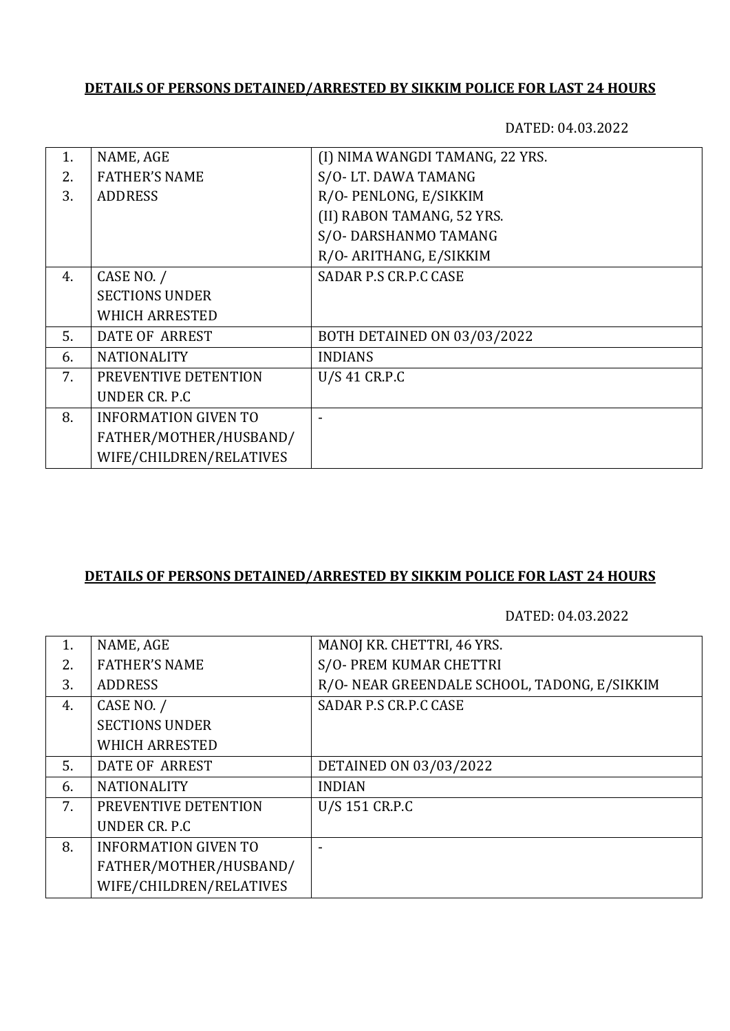# **DETAILS OF PERSONS DETAINED/ARRESTED BY SIKKIM POLICE FOR LAST 24 HOURS**

DATED: 04.03.2022

| $\mathbf{1}$ . | NAME, AGE                   | (I) NIMA WANGDI TAMANG, 22 YRS.    |
|----------------|-----------------------------|------------------------------------|
| 2.             | <b>FATHER'S NAME</b>        | S/O-LT. DAWA TAMANG                |
| 3.             | <b>ADDRESS</b>              | R/O-PENLONG, E/SIKKIM              |
|                |                             | (II) RABON TAMANG, 52 YRS.         |
|                |                             | S/O-DARSHANMO TAMANG               |
|                |                             | R/O- ARITHANG, E/SIKKIM            |
| 4.             | CASE NO. /                  | SADAR P.S CR.P.C CASE              |
|                | <b>SECTIONS UNDER</b>       |                                    |
|                | <b>WHICH ARRESTED</b>       |                                    |
| 5.             | DATE OF ARREST              | <b>BOTH DETAINED ON 03/03/2022</b> |
| 6.             | <b>NATIONALITY</b>          | <b>INDIANS</b>                     |
| 7.             | PREVENTIVE DETENTION        | U/S 41 CR.P.C                      |
|                | UNDER CR. P.C.              |                                    |
| 8.             | <b>INFORMATION GIVEN TO</b> |                                    |
|                | FATHER/MOTHER/HUSBAND/      |                                    |
|                | WIFE/CHILDREN/RELATIVES     |                                    |
|                |                             |                                    |

### **DETAILS OF PERSONS DETAINED/ARRESTED BY SIKKIM POLICE FOR LAST 24 HOURS**

DATED: 04.03.2022

| 1. | NAME, AGE                   | MANOJ KR. CHETTRI, 46 YRS.                   |
|----|-----------------------------|----------------------------------------------|
| 2. | <b>FATHER'S NAME</b>        | S/O- PREM KUMAR CHETTRI                      |
| 3. | <b>ADDRESS</b>              | R/O- NEAR GREENDALE SCHOOL, TADONG, E/SIKKIM |
| 4. | CASE NO. /                  | SADAR P.S CR.P.C CASE                        |
|    | <b>SECTIONS UNDER</b>       |                                              |
|    | <b>WHICH ARRESTED</b>       |                                              |
| 5. | <b>DATE OF ARREST</b>       | DETAINED ON 03/03/2022                       |
| 6. | <b>NATIONALITY</b>          | <b>INDIAN</b>                                |
| 7. | PREVENTIVE DETENTION        | U/S 151 CR.P.C                               |
|    | UNDER CR. P.C.              |                                              |
| 8. | <b>INFORMATION GIVEN TO</b> |                                              |
|    | FATHER/MOTHER/HUSBAND/      |                                              |
|    | WIFE/CHILDREN/RELATIVES     |                                              |